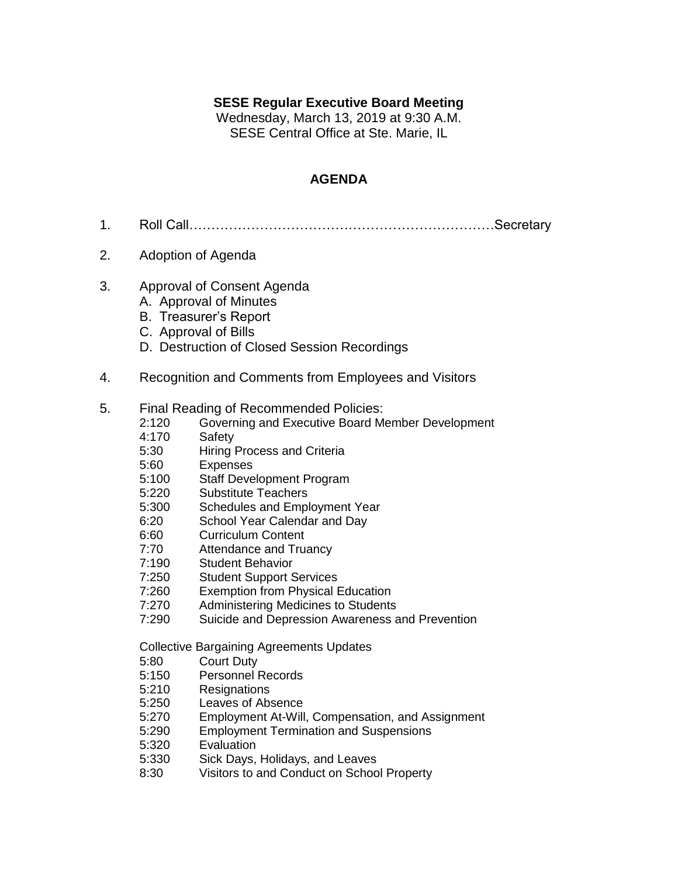## **SESE Regular Executive Board Meeting**

Wednesday, March 13, 2019 at 9:30 A.M. SESE Central Office at Ste. Marie, IL

## **AGENDA**

- 1. Roll Call……………………………………………………………Secretary
- 2. Adoption of Agenda
- 3. Approval of Consent Agenda
	- A. Approval of Minutes
	- B. Treasurer's Report
	- C. Approval of Bills
	- D. Destruction of Closed Session Recordings
- 4. Recognition and Comments from Employees and Visitors

## 5. Final Reading of Recommended Policies:<br>2:120 Governing and Executive Board Me

- Governing and Executive Board Member Development
- 4:170 Safety
- 5:30 Hiring Process and Criteria
- 5:60 Expenses
- 5:100 Staff Development Program
- 5:220 Substitute Teachers
- 5:300 Schedules and Employment Year
- 6:20 School Year Calendar and Day
- 6:60 Curriculum Content
- 7:70 Attendance and Truancy
- 7:190 Student Behavior
- 7:250 Student Support Services
- 7:260 Exemption from Physical Education
- 7:270 Administering Medicines to Students
- 7:290 Suicide and Depression Awareness and Prevention

Collective Bargaining Agreements Updates

- 5:80 Court Duty
- 5:150 Personnel Records
- 5:210 Resignations
- 5:250 Leaves of Absence
- 5:270 Employment At-Will, Compensation, and Assignment
- 5:290 Employment Termination and Suspensions
- 5:320 Evaluation
- 5:330 Sick Days, Holidays, and Leaves
- 8:30 Visitors to and Conduct on School Property